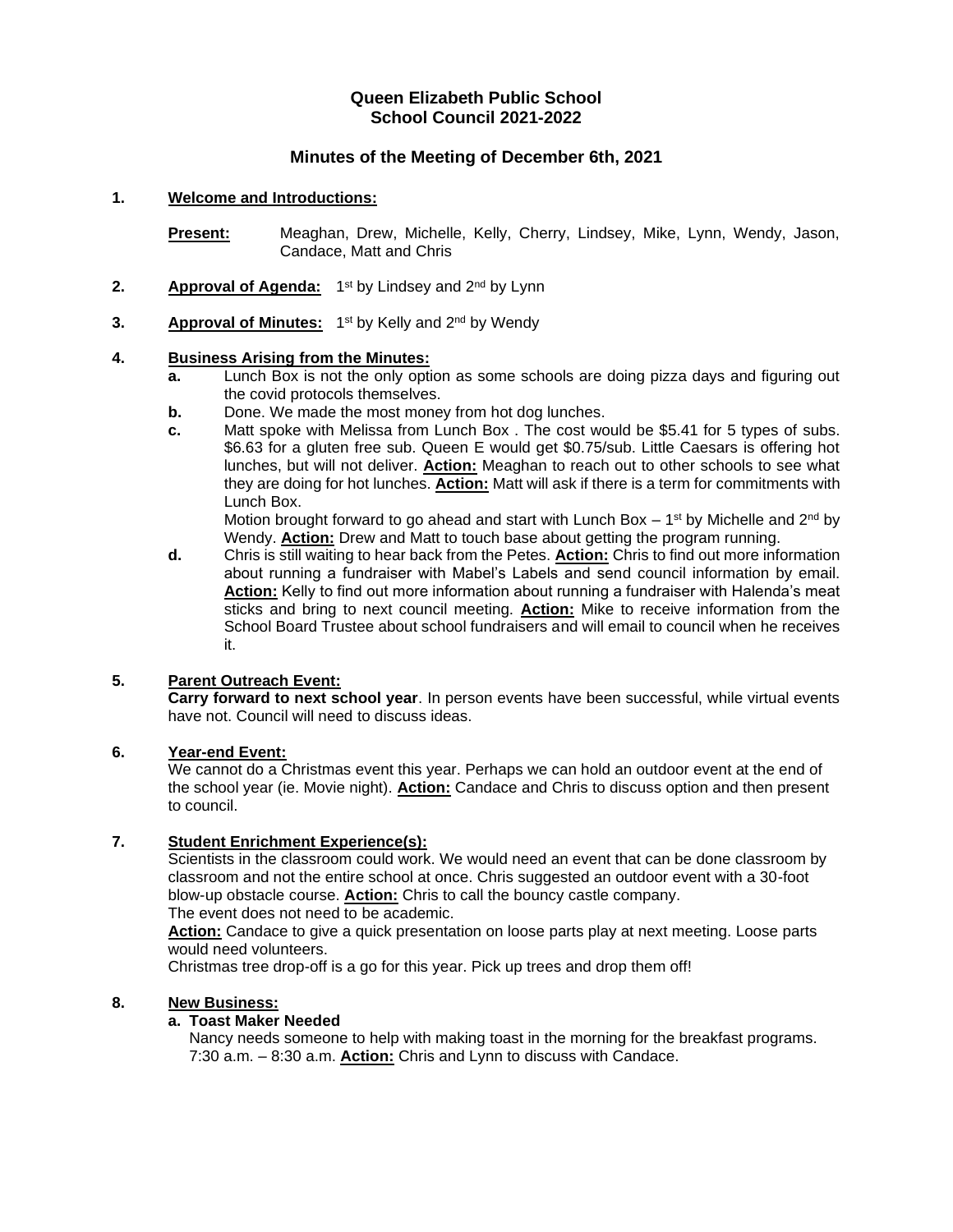## **Queen Elizabeth Public School School Council 2021-2022**

## **Minutes of the Meeting of December 6th, 2021**

### **1. Welcome and Introductions:**

**Present:** Meaghan, Drew, Michelle, Kelly, Cherry, Lindsey, Mike, Lynn, Wendy, Jason, Candace, Matt and Chris

- 2. **Approval of Agenda:** 1<sup>st</sup> by Lindsey and 2<sup>nd</sup> by Lynn
- **3.** Approval of Minutes: 1<sup>st</sup> by Kelly and 2<sup>nd</sup> by Wendy

#### **4. Business Arising from the Minutes:**

- **a.** Lunch Box is not the only option as some schools are doing pizza days and figuring out the covid protocols themselves.
- **b.** Done. We made the most money from hot dog lunches.
- **c.** Matt spoke with Melissa from Lunch Box . The cost would be \$5.41 for 5 types of subs. \$6.63 for a gluten free sub. Queen E would get \$0.75/sub. Little Caesars is offering hot lunches, but will not deliver. **Action:** Meaghan to reach out to other schools to see what they are doing for hot lunches. **Action:** Matt will ask if there is a term for commitments with Lunch Box.

Motion brought forward to go ahead and start with Lunch Box  $-1<sup>st</sup>$  by Michelle and 2<sup>nd</sup> by Wendy. **Action:** Drew and Matt to touch base about getting the program running.

**d.** Chris is still waiting to hear back from the Petes. **Action:** Chris to find out more information about running a fundraiser with Mabel's Labels and send council information by email. **Action:** Kelly to find out more information about running a fundraiser with Halenda's meat sticks and bring to next council meeting. **Action:** Mike to receive information from the School Board Trustee about school fundraisers and will email to council when he receives it.

#### **5. Parent Outreach Event:**

**Carry forward to next school year**. In person events have been successful, while virtual events have not. Council will need to discuss ideas.

#### **6. Year-end Event:**

We cannot do a Christmas event this year. Perhaps we can hold an outdoor event at the end of the school year (ie. Movie night). **Action:** Candace and Chris to discuss option and then present to council.

#### **7. Student Enrichment Experience(s):**

Scientists in the classroom could work. We would need an event that can be done classroom by classroom and not the entire school at once. Chris suggested an outdoor event with a 30-foot blow-up obstacle course. **Action:** Chris to call the bouncy castle company. The event does not need to be academic.

**Action:** Candace to give a quick presentation on loose parts play at next meeting. Loose parts would need volunteers.

Christmas tree drop-off is a go for this year. Pick up trees and drop them off!

## **8. New Business:**

### **a. Toast Maker Needed**

Nancy needs someone to help with making toast in the morning for the breakfast programs. 7:30 a.m. – 8:30 a.m. **Action:** Chris and Lynn to discuss with Candace.